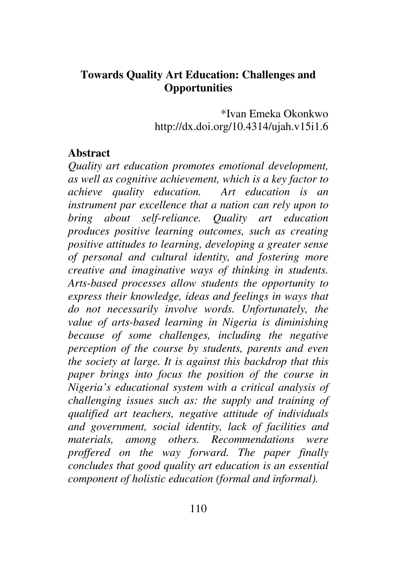#### **Towards Quality Art Education: Challenges and Opportunities**

\*Ivan Emeka Okonkwo http://dx.doi.org/10.4314/ujah.v15i1.6

#### **Abstract**

*Quality art education promotes emotional development, as well as cognitive achievement, which is a key factor to achieve quality education. Art education is an instrument par excellence that a nation can rely upon to bring about self-reliance. Quality art education produces positive learning outcomes, such as creating positive attitudes to learning, developing a greater sense of personal and cultural identity, and fostering more creative and imaginative ways of thinking in students. Arts-based processes allow students the opportunity to express their knowledge, ideas and feelings in ways that do not necessarily involve words. Unfortunately, the value of arts-based learning in Nigeria is diminishing because of some challenges, including the negative perception of the course by students, parents and even the society at large. It is against this backdrop that this paper brings into focus the position of the course in Nigeria's educational system with a critical analysis of challenging issues such as: the supply and training of qualified art teachers, negative attitude of individuals and government, social identity, lack of facilities and materials, among others. Recommendations were proffered on the way forward. The paper finally concludes that good quality art education is an essential component of holistic education (formal and informal).*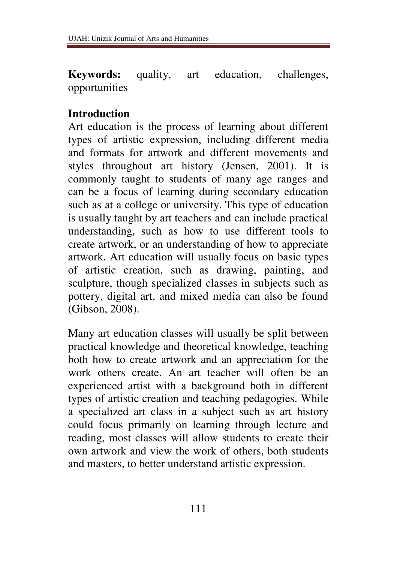**Keywords:** quality, art education, challenges, opportunities

## **Introduction**

Art education is the process of learning about different types of artistic expression, including different media and formats for artwork and different movements and styles throughout art history (Jensen, 2001). It is commonly taught to students of many age ranges and can be a focus of learning during secondary education such as at a college or university. This type of education is usually taught by art teachers and can include practical understanding, such as how to use different tools to create artwork, or an understanding of how to appreciate artwork. Art education will usually focus on basic types of artistic creation, such as drawing, painting, and sculpture, though specialized classes in subjects such as pottery, digital art, and mixed media can also be found (Gibson, 2008).

Many art education classes will usually be split between practical knowledge and theoretical knowledge, teaching both how to create artwork and an appreciation for the work others create. An art teacher will often be an experienced artist with a background both in different types of artistic creation and teaching pedagogies. While a specialized art class in a subject such as art history could focus primarily on learning through lecture and reading, most classes will allow students to create their own artwork and view the work of others, both students and masters, to better understand artistic expression.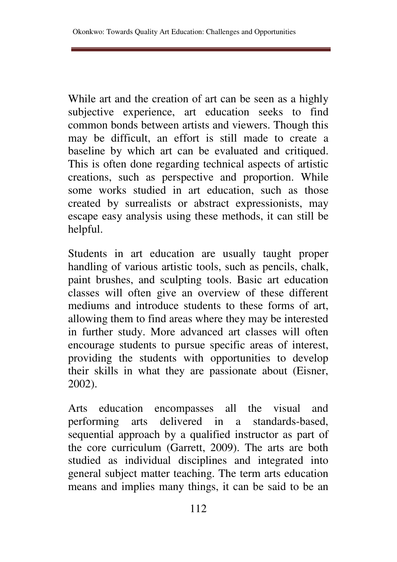While art and the creation of art can be seen as a highly subjective experience, art education seeks to find common bonds between artists and viewers. Though this may be difficult, an effort is still made to create a baseline by which art can be evaluated and critiqued. This is often done regarding technical aspects of artistic creations, such as perspective and proportion. While some works studied in art education, such as those created by surrealists or abstract expressionists, may escape easy analysis using these methods, it can still be helpful.

Students in art education are usually taught proper handling of various artistic tools, such as pencils, chalk, paint brushes, and sculpting tools. Basic art education classes will often give an overview of these different mediums and introduce students to these forms of art, allowing them to find areas where they may be interested in further study. More advanced art classes will often encourage students to pursue specific areas of interest, providing the students with opportunities to develop their skills in what they are passionate about (Eisner, 2002).

Arts education encompasses all the visual and performing arts delivered in a standards-based, sequential approach by a qualified instructor as part of the core curriculum (Garrett, 2009). The arts are both studied as individual disciplines and integrated into general subject matter teaching. The term arts education means and implies many things, it can be said to be an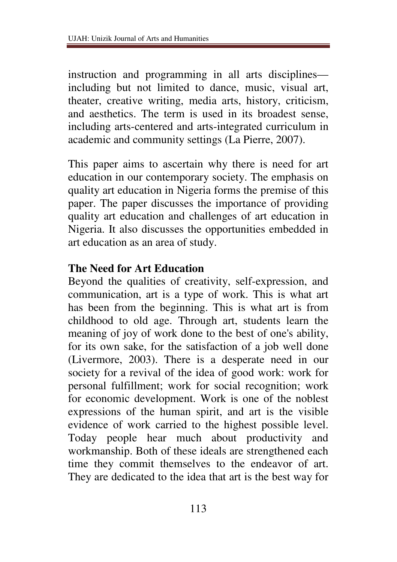instruction and programming in all arts disciplines including but not limited to dance, music, visual art, theater, creative writing, media arts, history, criticism, and aesthetics. The term is used in its broadest sense, including arts-centered and arts-integrated curriculum in academic and community settings (La Pierre, 2007).

This paper aims to ascertain why there is need for art education in our contemporary society. The emphasis on quality art education in Nigeria forms the premise of this paper. The paper discusses the importance of providing quality art education and challenges of art education in Nigeria. It also discusses the opportunities embedded in art education as an area of study.

#### **The Need for Art Education**

Beyond the qualities of creativity, self-expression, and communication, art is a type of work. This is what art has been from the beginning. This is what art is from childhood to old age. Through art, students learn the meaning of joy of work done to the best of one's ability, for its own sake, for the satisfaction of a job well done (Livermore, 2003). There is a desperate need in our society for a revival of the idea of good work: work for personal fulfillment; work for social recognition; work for economic development. Work is one of the noblest expressions of the human spirit, and art is the visible evidence of work carried to the highest possible level. Today people hear much about productivity and workmanship. Both of these ideals are strengthened each time they commit themselves to the endeavor of art. They are dedicated to the idea that art is the best way for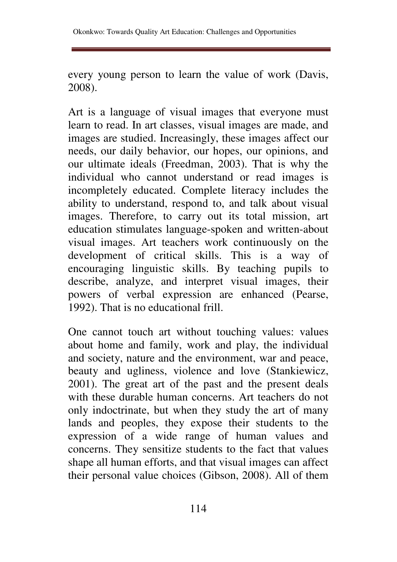Okonkwo: Towards Quality Art Education: Challenges and Opportunities

every young person to learn the value of work (Davis, 2008).

Art is a language of visual images that everyone must learn to read. In art classes, visual images are made, and images are studied. Increasingly, these images affect our needs, our daily behavior, our hopes, our opinions, and our ultimate ideals (Freedman, 2003). That is why the individual who cannot understand or read images is incompletely educated. Complete literacy includes the ability to understand, respond to, and talk about visual images. Therefore, to carry out its total mission, art education stimulates language-spoken and written-about visual images. Art teachers work continuously on the development of critical skills. This is a way of encouraging linguistic skills. By teaching pupils to describe, analyze, and interpret visual images, their powers of verbal expression are enhanced (Pearse, 1992). That is no educational frill.

One cannot touch art without touching values: values about home and family, work and play, the individual and society, nature and the environment, war and peace, beauty and ugliness, violence and love (Stankiewicz, 2001). The great art of the past and the present deals with these durable human concerns. Art teachers do not only indoctrinate, but when they study the art of many lands and peoples, they expose their students to the expression of a wide range of human values and concerns. They sensitize students to the fact that values shape all human efforts, and that visual images can affect their personal value choices (Gibson, 2008). All of them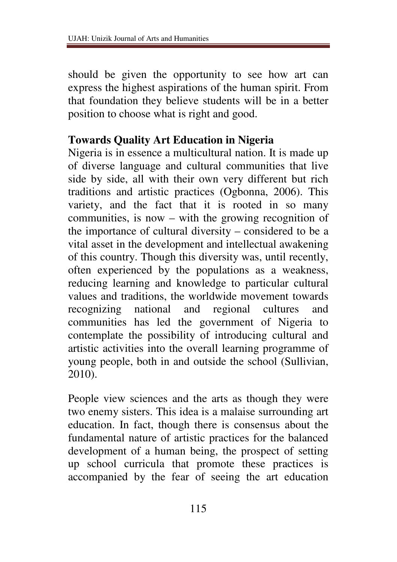should be given the opportunity to see how art can express the highest aspirations of the human spirit. From that foundation they believe students will be in a better position to choose what is right and good.

## **Towards Quality Art Education in Nigeria**

Nigeria is in essence a multicultural nation. It is made up of diverse language and cultural communities that live side by side, all with their own very different but rich traditions and artistic practices (Ogbonna, 2006). This variety, and the fact that it is rooted in so many communities, is now – with the growing recognition of the importance of cultural diversity – considered to be a vital asset in the development and intellectual awakening of this country. Though this diversity was, until recently, often experienced by the populations as a weakness, reducing learning and knowledge to particular cultural values and traditions, the worldwide movement towards recognizing national and regional cultures and communities has led the government of Nigeria to contemplate the possibility of introducing cultural and artistic activities into the overall learning programme of young people, both in and outside the school (Sullivian, 2010).

People view sciences and the arts as though they were two enemy sisters. This idea is a malaise surrounding art education. In fact, though there is consensus about the fundamental nature of artistic practices for the balanced development of a human being, the prospect of setting up school curricula that promote these practices is accompanied by the fear of seeing the art education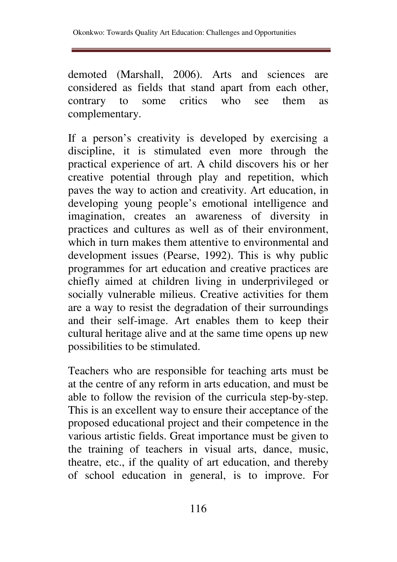demoted (Marshall, 2006). Arts and sciences are considered as fields that stand apart from each other, contrary to some critics who see them as complementary.

If a person's creativity is developed by exercising a discipline, it is stimulated even more through the practical experience of art. A child discovers his or her creative potential through play and repetition, which paves the way to action and creativity. Art education, in developing young people's emotional intelligence and imagination, creates an awareness of diversity in practices and cultures as well as of their environment, which in turn makes them attentive to environmental and development issues (Pearse, 1992). This is why public programmes for art education and creative practices are chiefly aimed at children living in underprivileged or socially vulnerable milieus. Creative activities for them are a way to resist the degradation of their surroundings and their self-image. Art enables them to keep their cultural heritage alive and at the same time opens up new possibilities to be stimulated.

Teachers who are responsible for teaching arts must be at the centre of any reform in arts education, and must be able to follow the revision of the curricula step-by-step. This is an excellent way to ensure their acceptance of the proposed educational project and their competence in the various artistic fields. Great importance must be given to the training of teachers in visual arts, dance, music, theatre, etc., if the quality of art education, and thereby of school education in general, is to improve. For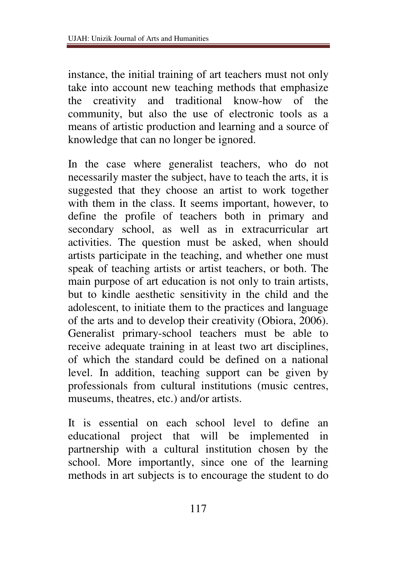instance, the initial training of art teachers must not only take into account new teaching methods that emphasize the creativity and traditional know-how of the community, but also the use of electronic tools as a means of artistic production and learning and a source of knowledge that can no longer be ignored.

In the case where generalist teachers, who do not necessarily master the subject, have to teach the arts, it is suggested that they choose an artist to work together with them in the class. It seems important, however, to define the profile of teachers both in primary and secondary school, as well as in extracurricular art activities. The question must be asked, when should artists participate in the teaching, and whether one must speak of teaching artists or artist teachers, or both. The main purpose of art education is not only to train artists, but to kindle aesthetic sensitivity in the child and the adolescent, to initiate them to the practices and language of the arts and to develop their creativity (Obiora, 2006). Generalist primary-school teachers must be able to receive adequate training in at least two art disciplines, of which the standard could be defined on a national level. In addition, teaching support can be given by professionals from cultural institutions (music centres, museums, theatres, etc.) and/or artists.

It is essential on each school level to define an educational project that will be implemented in partnership with a cultural institution chosen by the school. More importantly, since one of the learning methods in art subjects is to encourage the student to do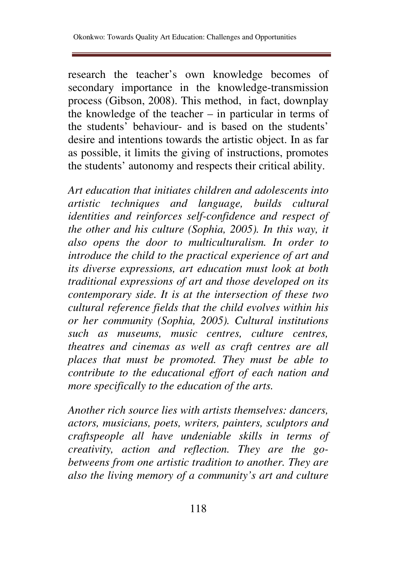research the teacher's own knowledge becomes of secondary importance in the knowledge-transmission process (Gibson, 2008). This method, in fact, downplay the knowledge of the teacher – in particular in terms of the students' behaviour- and is based on the students' desire and intentions towards the artistic object. In as far as possible, it limits the giving of instructions, promotes the students' autonomy and respects their critical ability.

*Art education that initiates children and adolescents into artistic techniques and language, builds cultural identities and reinforces self-confidence and respect of the other and his culture (Sophia, 2005). In this way, it also opens the door to multiculturalism. In order to introduce the child to the practical experience of art and its diverse expressions, art education must look at both traditional expressions of art and those developed on its contemporary side. It is at the intersection of these two cultural reference fields that the child evolves within his or her community (Sophia, 2005). Cultural institutions such as museums, music centres, culture centres, theatres and cinemas as well as craft centres are all places that must be promoted. They must be able to contribute to the educational effort of each nation and more specifically to the education of the arts.* 

*Another rich source lies with artists themselves: dancers, actors, musicians, poets, writers, painters, sculptors and craftspeople all have undeniable skills in terms of creativity, action and reflection. They are the gobetweens from one artistic tradition to another. They are also the living memory of a community's art and culture*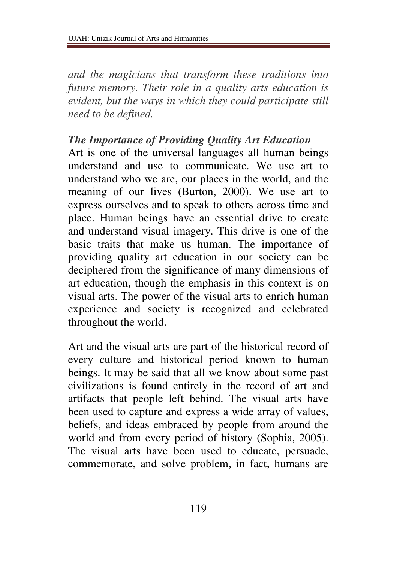*and the magicians that transform these traditions into future memory. Their role in a quality arts education is evident, but the ways in which they could participate still need to be defined.* 

#### *The Importance of Providing Quality Art Education*

Art is one of the universal languages all human beings understand and use to communicate. We use art to understand who we are, our places in the world, and the meaning of our lives (Burton, 2000). We use art to express ourselves and to speak to others across time and place. Human beings have an essential drive to create and understand visual imagery. This drive is one of the basic traits that make us human. The importance of providing quality art education in our society can be deciphered from the significance of many dimensions of art education, though the emphasis in this context is on visual arts. The power of the visual arts to enrich human experience and society is recognized and celebrated throughout the world.

Art and the visual arts are part of the historical record of every culture and historical period known to human beings. It may be said that all we know about some past civilizations is found entirely in the record of art and artifacts that people left behind. The visual arts have been used to capture and express a wide array of values, beliefs, and ideas embraced by people from around the world and from every period of history (Sophia, 2005). The visual arts have been used to educate, persuade, commemorate, and solve problem, in fact, humans are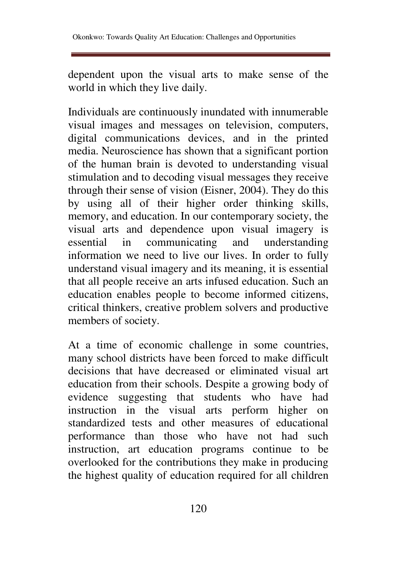dependent upon the visual arts to make sense of the world in which they live daily.

Individuals are continuously inundated with innumerable visual images and messages on television, computers, digital communications devices, and in the printed media. Neuroscience has shown that a significant portion of the human brain is devoted to understanding visual stimulation and to decoding visual messages they receive through their sense of vision (Eisner, 2004). They do this by using all of their higher order thinking skills, memory, and education. In our contemporary society, the visual arts and dependence upon visual imagery is essential in communicating and understanding information we need to live our lives. In order to fully understand visual imagery and its meaning, it is essential that all people receive an arts infused education. Such an education enables people to become informed citizens, critical thinkers, creative problem solvers and productive members of society.

At a time of economic challenge in some countries, many school districts have been forced to make difficult decisions that have decreased or eliminated visual art education from their schools. Despite a growing body of evidence suggesting that students who have had instruction in the visual arts perform higher on standardized tests and other measures of educational performance than those who have not had such instruction, art education programs continue to be overlooked for the contributions they make in producing the highest quality of education required for all children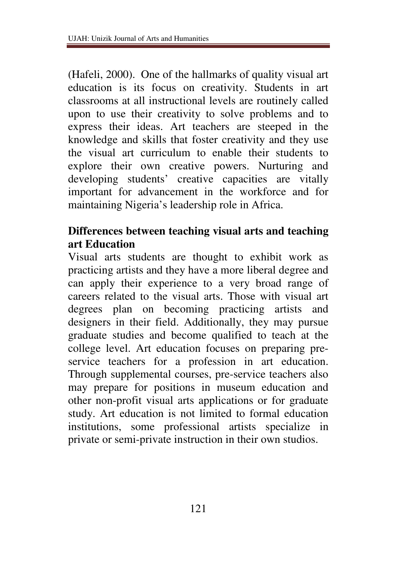(Hafeli, 2000). One of the hallmarks of quality visual art education is its focus on creativity. Students in art classrooms at all instructional levels are routinely called upon to use their creativity to solve problems and to express their ideas. Art teachers are steeped in the knowledge and skills that foster creativity and they use the visual art curriculum to enable their students to explore their own creative powers. Nurturing and developing students' creative capacities are vitally important for advancement in the workforce and for maintaining Nigeria's leadership role in Africa.

## **Differences between teaching visual arts and teaching art Education**

Visual arts students are thought to exhibit work as practicing artists and they have a more liberal degree and can apply their experience to a very broad range of careers related to the visual arts. Those with visual art degrees plan on becoming practicing artists and designers in their field. Additionally, they may pursue graduate studies and become qualified to teach at the college level. Art education focuses on preparing preservice teachers for a profession in art education. Through supplemental courses, pre-service teachers also may prepare for positions in museum education and other non-profit visual arts applications or for graduate study. Art education is not limited to formal education institutions, some professional artists specialize in private or semi-private instruction in their own studios.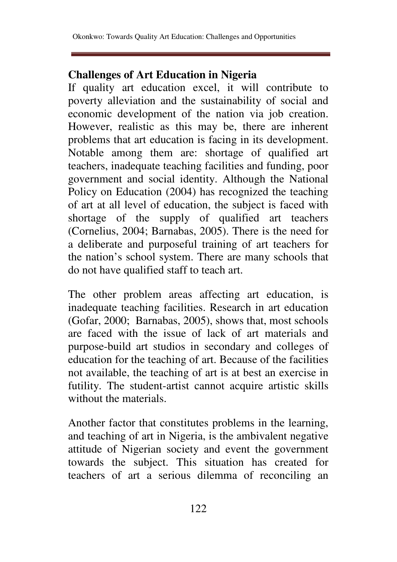# **Challenges of Art Education in Nigeria**

If quality art education excel, it will contribute to poverty alleviation and the sustainability of social and economic development of the nation via job creation. However, realistic as this may be, there are inherent problems that art education is facing in its development. Notable among them are: shortage of qualified art teachers, inadequate teaching facilities and funding, poor government and social identity. Although the National Policy on Education (2004) has recognized the teaching of art at all level of education, the subject is faced with shortage of the supply of qualified art teachers (Cornelius, 2004; Barnabas, 2005). There is the need for a deliberate and purposeful training of art teachers for the nation's school system. There are many schools that do not have qualified staff to teach art.

The other problem areas affecting art education, is inadequate teaching facilities. Research in art education (Gofar, 2000; Barnabas, 2005), shows that, most schools are faced with the issue of lack of art materials and purpose-build art studios in secondary and colleges of education for the teaching of art. Because of the facilities not available, the teaching of art is at best an exercise in futility. The student-artist cannot acquire artistic skills without the materials.

Another factor that constitutes problems in the learning, and teaching of art in Nigeria, is the ambivalent negative attitude of Nigerian society and event the government towards the subject. This situation has created for teachers of art a serious dilemma of reconciling an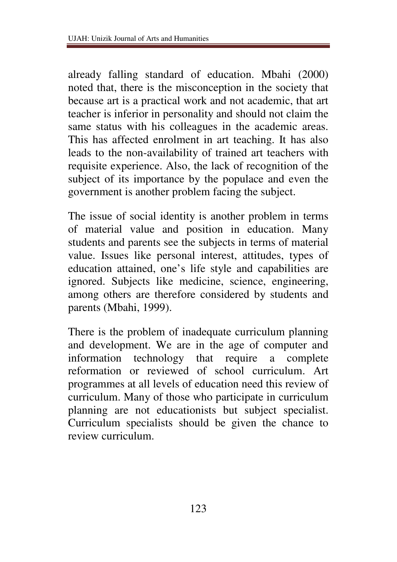already falling standard of education. Mbahi (2000) noted that, there is the misconception in the society that because art is a practical work and not academic, that art teacher is inferior in personality and should not claim the same status with his colleagues in the academic areas. This has affected enrolment in art teaching. It has also leads to the non-availability of trained art teachers with requisite experience. Also, the lack of recognition of the subject of its importance by the populace and even the government is another problem facing the subject.

The issue of social identity is another problem in terms of material value and position in education. Many students and parents see the subjects in terms of material value. Issues like personal interest, attitudes, types of education attained, one's life style and capabilities are ignored. Subjects like medicine, science, engineering, among others are therefore considered by students and parents (Mbahi, 1999).

There is the problem of inadequate curriculum planning and development. We are in the age of computer and information technology that require a complete reformation or reviewed of school curriculum. Art programmes at all levels of education need this review of curriculum. Many of those who participate in curriculum planning are not educationists but subject specialist. Curriculum specialists should be given the chance to review curriculum.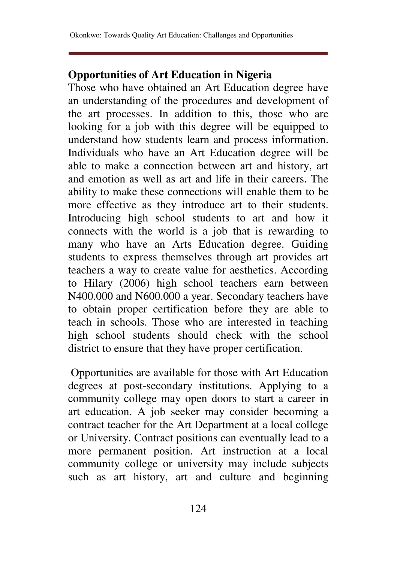# **Opportunities of Art Education in Nigeria**

Those who have obtained an Art Education degree have an understanding of the procedures and development of the art processes. In addition to this, those who are looking for a job with this degree will be equipped to understand how students learn and process information. Individuals who have an Art Education degree will be able to make a connection between art and history, art and emotion as well as art and life in their careers. The ability to make these connections will enable them to be more effective as they introduce art to their students. Introducing high school students to art and how it connects with the world is a job that is rewarding to many who have an Arts Education degree. Guiding students to express themselves through art provides art teachers a way to create value for aesthetics. According to Hilary (2006) high school teachers earn between N400.000 and N600.000 a year. Secondary teachers have to obtain proper certification before they are able to teach in schools. Those who are interested in teaching high school students should check with the school district to ensure that they have proper certification.

 Opportunities are available for those with Art Education degrees at post-secondary institutions. Applying to a community college may open doors to start a career in art education. A job seeker may consider becoming a contract teacher for the Art Department at a local college or University. Contract positions can eventually lead to a more permanent position. Art instruction at a local community college or university may include subjects such as art history, art and culture and beginning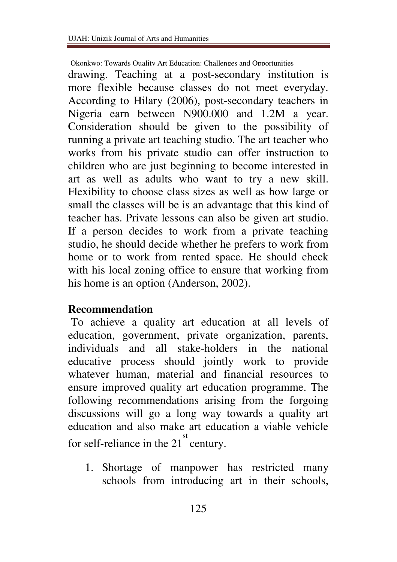Okonkwo: Towards Quality Art Education: Challenges and Opportunities

drawing. Teaching at a post-secondary institution is more flexible because classes do not meet everyday. According to Hilary (2006), post-secondary teachers in Nigeria earn between N900.000 and 1.2M a year. Consideration should be given to the possibility of running a private art teaching studio. The art teacher who works from his private studio can offer instruction to children who are just beginning to become interested in art as well as adults who want to try a new skill. Flexibility to choose class sizes as well as how large or small the classes will be is an advantage that this kind of teacher has. Private lessons can also be given art studio. If a person decides to work from a private teaching studio, he should decide whether he prefers to work from home or to work from rented space. He should check with his local zoning office to ensure that working from his home is an option (Anderson, 2002).

#### **Recommendation**

 To achieve a quality art education at all levels of education, government, private organization, parents, individuals and all stake-holders in the national educative process should jointly work to provide whatever human, material and financial resources to ensure improved quality art education programme. The following recommendations arising from the forgoing discussions will go a long way towards a quality art education and also make art education a viable vehicle for self-reliance in the  $21<sup>st</sup>$  century.

1. Shortage of manpower has restricted many schools from introducing art in their schools,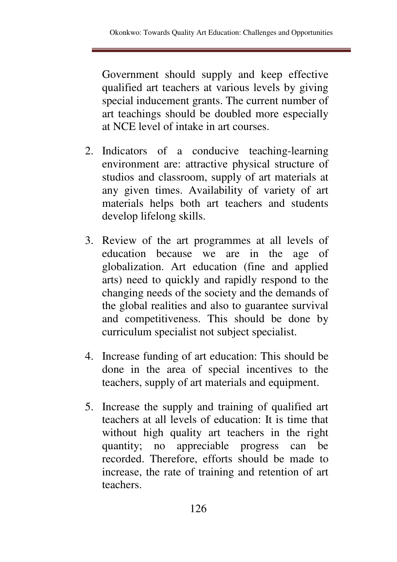Government should supply and keep effective qualified art teachers at various levels by giving special inducement grants. The current number of art teachings should be doubled more especially at NCE level of intake in art courses.

- 2. Indicators of a conducive teaching-learning environment are: attractive physical structure of studios and classroom, supply of art materials at any given times. Availability of variety of art materials helps both art teachers and students develop lifelong skills.
- 3. Review of the art programmes at all levels of education because we are in the age of globalization. Art education (fine and applied arts) need to quickly and rapidly respond to the changing needs of the society and the demands of the global realities and also to guarantee survival and competitiveness. This should be done by curriculum specialist not subject specialist.
- 4. Increase funding of art education: This should be done in the area of special incentives to the teachers, supply of art materials and equipment.
- 5. Increase the supply and training of qualified art teachers at all levels of education: It is time that without high quality art teachers in the right quantity; no appreciable progress can be recorded. Therefore, efforts should be made to increase, the rate of training and retention of art teachers.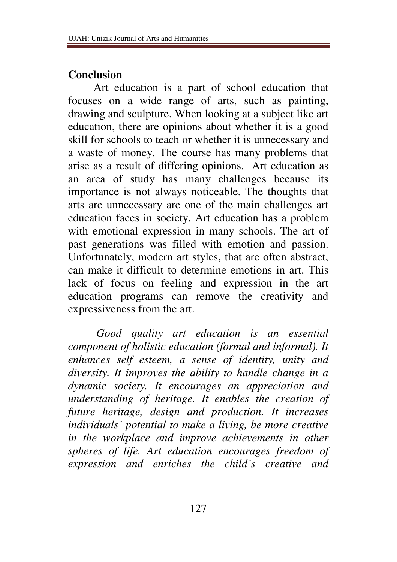#### **Conclusion**

 Art education is a part of school education that focuses on a wide range of arts, such as painting, drawing and sculpture. When looking at a subject like art education, there are opinions about whether it is a good skill for schools to teach or whether it is unnecessary and a waste of money. The course has many problems that arise as a result of differing opinions. Art education as an area of study has many challenges because its importance is not always noticeable. The thoughts that arts are unnecessary are one of the main challenges art education faces in society. Art education has a problem with emotional expression in many schools. The art of past generations was filled with emotion and passion. Unfortunately, modern art styles, that are often abstract, can make it difficult to determine emotions in art. This lack of focus on feeling and expression in the art education programs can remove the creativity and expressiveness from the art.

 *Good quality art education is an essential component of holistic education (formal and informal). It enhances self esteem, a sense of identity, unity and diversity. It improves the ability to handle change in a dynamic society. It encourages an appreciation and understanding of heritage. It enables the creation of future heritage, design and production. It increases individuals' potential to make a living, be more creative in the workplace and improve achievements in other spheres of life. Art education encourages freedom of expression and enriches the child's creative and*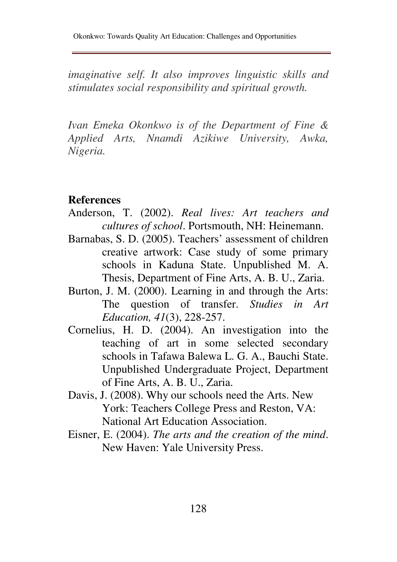*imaginative self. It also improves linguistic skills and stimulates social responsibility and spiritual growth.* 

*Ivan Emeka Okonkwo is of the Department of Fine & Applied Arts, Nnamdi Azikiwe University, Awka, Nigeria.*

#### **References**

- Anderson, T. (2002). *Real lives: Art teachers and cultures of school*. Portsmouth, NH: Heinemann.
- Barnabas, S. D. (2005). Teachers' assessment of children creative artwork: Case study of some primary schools in Kaduna State. Unpublished M. A. Thesis, Department of Fine Arts, A. B. U., Zaria.
- Burton, J. M. (2000). Learning in and through the Arts: The question of transfer. *Studies in Art Education, 41*(3), 228-257.
- Cornelius, H. D. (2004). An investigation into the teaching of art in some selected secondary schools in Tafawa Balewa L. G. A., Bauchi State. Unpublished Undergraduate Project, Department of Fine Arts, A. B. U., Zaria.
- Davis, J. (2008). Why our schools need the Arts. New York: Teachers College Press and Reston, VA: National Art Education Association.
- Eisner, E. (2004). *The arts and the creation of the mind*. New Haven: Yale University Press.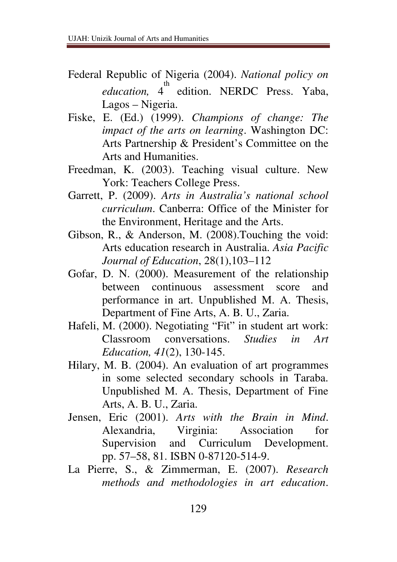- Federal Republic of Nigeria (2004). *National policy on*  education, 4<sup>th</sup> edition. NERDC Press. Yaba, Lagos – Nigeria.
- Fiske, E. (Ed.) (1999). *Champions of change: The impact of the arts on learning*. Washington DC: Arts Partnership & President's Committee on the Arts and Humanities.
- Freedman, K. (2003). Teaching visual culture. New York: Teachers College Press.
- Garrett, P. (2009). *Arts in Australia's national school curriculum*. Canberra: Office of the Minister for the Environment, Heritage and the Arts.
- Gibson, R., & Anderson, M. (2008).Touching the void: Arts education research in Australia. *Asia Pacific Journal of Education*, 28(1),103–112
- Gofar, D. N. (2000). Measurement of the relationship between continuous assessment score and performance in art. Unpublished M. A. Thesis, Department of Fine Arts, A. B. U., Zaria.
- Hafeli, M. (2000). Negotiating "Fit" in student art work: Classroom conversations. *Studies in Art Education, 41*(2), 130-145.
- Hilary, M. B. (2004). An evaluation of art programmes in some selected secondary schools in Taraba. Unpublished M. A. Thesis, Department of Fine Arts, A. B. U., Zaria.
- Jensen, Eric (2001). *Arts with the Brain in Mind*. Alexandria, Virginia: Association for Supervision and Curriculum Development. pp. 57–58, 81. ISBN 0-87120-514-9.
- La Pierre, S., & Zimmerman, E. (2007). *Research methods and methodologies in art education*.